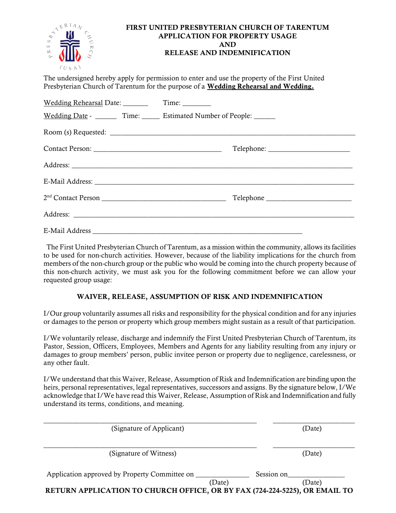

### FIRST UNITED PRESBYTERIAN CHURCH OF TARENTUM APPLICATION FOR PROPERTY USAGE AND RELEASE AND INDEMNIFICATION

The undersigned hereby apply for permission to enter and use the property of the First United Presbyterian Church of Tarentum for the purpose of a Wedding Rehearsal and Wedding.

| Wedding Date - Time: Estimated Number of People:                                                               |
|----------------------------------------------------------------------------------------------------------------|
|                                                                                                                |
|                                                                                                                |
|                                                                                                                |
| E-Mail Address: 1988 and 2008 and 2008 and 2008 and 2008 and 2008 and 2008 and 2008 and 2008 and 2008 and 2008 |
| Telephone                                                                                                      |
|                                                                                                                |
|                                                                                                                |

 The First United Presbyterian Church of Tarentum, as a mission within the community, allows its facilities to be used for non-church activities. However, because of the liability implications for the church from members of the non-church group or the public who would be coming into the church property because of this non-church activity, we must ask you for the following commitment before we can allow your requested group usage:

### WAIVER, RELEASE, ASSUMPTION OF RISK AND INDEMNIFICATION

I/Our group voluntarily assumes all risks and responsibility for the physical condition and for any injuries or damages to the person or property which group members might sustain as a result of that participation.

I/We voluntarily release, discharge and indemnify the First United Presbyterian Church of Tarentum, its Pastor, Session, Officers, Employees, Members and Agents for any liability resulting from any injury or damages to group members' person, public invitee person or property due to negligence, carelessness, or any other fault.

I/We understand that this Waiver, Release, Assumption of Risk and Indemnification are binding upon the heirs, personal representatives, legal representatives, successors and assigns. By the signature below, I/We acknowledge that I/We have read this Waiver, Release, Assumption of Risk and Indemnification and fully understand its terms, conditions, and meaning.

| (Signature of Applicant)                                                   | (Date)               |
|----------------------------------------------------------------------------|----------------------|
| (Signature of Witness)                                                     | (Date)               |
| Application approved by Property Committee on<br>(Date)                    | Session on<br>(Date) |
| RETURN APPLICATION TO CHURCH OFFICE, OR BY FAX (724-224-5225), OR EMAIL TO |                      |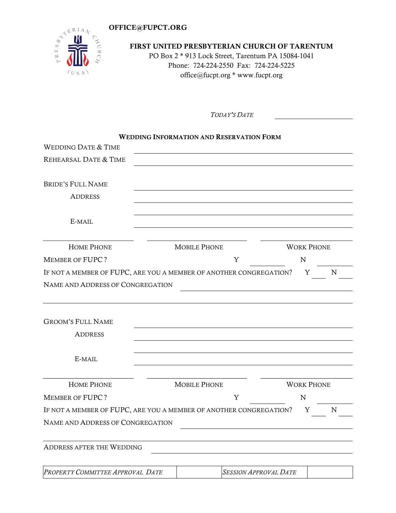## OFFICE@FUPCT.ORG



## FIRST UNITED PRESBYTERIAN CHURCH OF TARENTUM PO Box 2 \* 913 Lock Street, Tarentum PA 15084-1041 Phone: 724-224-2550 Fax: 724-224-5225 office@fucpt.org \* www.fucpt.org

TODAY'S DATE

|                                                                    | <b>WEDDING INFORMATION AND RESERVATION FORM</b> |   |                   |   |   |
|--------------------------------------------------------------------|-------------------------------------------------|---|-------------------|---|---|
| <b>WEDDING DATE &amp; TIME</b>                                     |                                                 |   |                   |   |   |
| REHEARSAL DATE & TIME                                              |                                                 |   |                   |   |   |
|                                                                    |                                                 |   |                   |   |   |
| <b>BRIDE'S FULL NAME</b>                                           |                                                 |   |                   |   |   |
| <b>ADDRESS</b>                                                     |                                                 |   |                   |   |   |
| E-MAIL                                                             |                                                 |   |                   |   |   |
| <b>HOME PHONE</b>                                                  | <b>MOBILE PHONE</b>                             |   | <b>WORK PHONE</b> |   |   |
| <b>MEMBER OF FUPC?</b>                                             |                                                 | Y | N                 |   |   |
| IF NOT A MEMBER OF FUPC, ARE YOU A MEMBER OF ANOTHER CONGREGATION? |                                                 |   |                   | Y | N |
| NAME AND ADDRESS OF CONGREGATION                                   |                                                 |   |                   |   |   |
| <b>GROOM'S FULL NAME</b><br><b>ADDRESS</b>                         |                                                 |   |                   |   |   |
| E-MAIL                                                             |                                                 |   |                   |   |   |
| <b>HOME PHONE</b>                                                  | <b>MOBILE PHONE</b>                             |   | <b>WORK PHONE</b> |   |   |
| <b>MEMBER OF FUPC?</b>                                             |                                                 | Y | N                 |   |   |
| IF NOT A MEMBER OF FUPC, ARE YOU A MEMBER OF ANOTHER CONGREGATION? |                                                 |   |                   | Y | N |
| NAME AND ADDRESS OF CONGREGATION                                   |                                                 |   |                   |   |   |
| <b>ADDRESS AFTER THE WEDDING</b>                                   |                                                 |   |                   |   |   |
|                                                                    |                                                 |   |                   |   |   |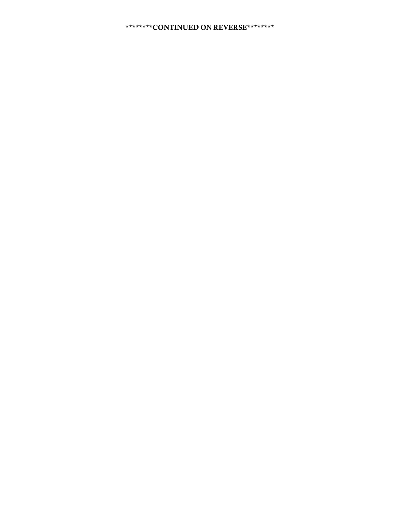## \*\*\*\*\*\*\*\*CONTINUED ON REVERSE\*\*\*\*\*\*\*\*\*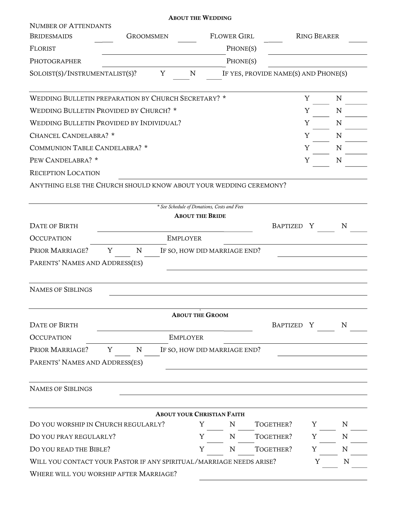|                                                                     |                  | <b>ABOUT THE WEDDING</b>                    |                    |                                      |                    |             |
|---------------------------------------------------------------------|------------------|---------------------------------------------|--------------------|--------------------------------------|--------------------|-------------|
| <b>NUMBER OF ATTENDANTS</b>                                         |                  |                                             |                    |                                      |                    |             |
| <b>BRIDESMAIDS</b>                                                  | <b>GROOMSMEN</b> |                                             | <b>FLOWER GIRL</b> |                                      | <b>RING BEARER</b> |             |
| <b>FLORIST</b>                                                      |                  |                                             | PHONE(S)           |                                      |                    |             |
| PHOTOGRAPHER                                                        |                  |                                             | PHONE(S)           |                                      |                    |             |
| SOLOIST(S)/INSTRUMENTALIST(S)?                                      | Y                | N                                           |                    | IF YES, PROVIDE NAME(S) AND PHONE(S) |                    |             |
| WEDDING BULLETIN PREPARATION BY CHURCH SECRETARY? *                 |                  |                                             |                    |                                      | Y                  | N           |
| WEDDING BULLETIN PROVIDED BY CHURCH? *                              |                  |                                             |                    |                                      | Y                  | N           |
| WEDDING BULLETIN PROVIDED BY INDIVIDUAL?                            |                  |                                             |                    |                                      | Y                  | N           |
| CHANCEL CANDELABRA? *                                               |                  |                                             |                    |                                      | Y                  | N           |
| COMMUNION TABLE CANDELABRA? *                                       |                  |                                             |                    |                                      | Y                  | N           |
| PEW CANDELABRA? *                                                   |                  |                                             |                    |                                      | Y                  | N           |
| <b>RECEPTION LOCATION</b>                                           |                  |                                             |                    |                                      |                    |             |
|                                                                     |                  |                                             |                    |                                      |                    |             |
| ANYTHING ELSE THE CHURCH SHOULD KNOW ABOUT YOUR WEDDING CEREMONY?   |                  |                                             |                    |                                      |                    |             |
|                                                                     |                  | * See Schedule of Donations, Costs and Fees |                    |                                      |                    |             |
|                                                                     |                  | <b>ABOUT THE BRIDE</b>                      |                    |                                      |                    |             |
| <b>DATE OF BIRTH</b>                                                |                  |                                             |                    | BAPTIZED Y                           |                    | N           |
| <b>OCCUPATION</b>                                                   |                  | <b>EMPLOYER</b>                             |                    |                                      |                    |             |
| PRIOR MARRIAGE?                                                     | Y<br>N           | IF SO, HOW DID MARRIAGE END?                |                    |                                      |                    |             |
| PARENTS' NAMES AND ADDRESS(ES)                                      |                  |                                             |                    |                                      |                    |             |
|                                                                     |                  |                                             |                    |                                      |                    |             |
| <b>NAMES OF SIBLINGS</b>                                            |                  |                                             |                    |                                      |                    |             |
|                                                                     |                  | <b>ABOUT THE GROOM</b>                      |                    |                                      |                    |             |
| <b>DATE OF BIRTH</b>                                                |                  |                                             |                    | BAPTIZED Y                           |                    | N           |
| <b>OCCUPATION</b>                                                   |                  | <b>EMPLOYER</b>                             |                    |                                      |                    |             |
| PRIOR MARRIAGE?                                                     | ${\bf N}$<br>Y   | IF SO, HOW DID MARRIAGE END?                |                    |                                      |                    |             |
| PARENTS' NAMES AND ADDRESS(ES)                                      |                  |                                             |                    |                                      |                    |             |
|                                                                     |                  |                                             |                    |                                      |                    |             |
| <b>NAMES OF SIBLINGS</b>                                            |                  |                                             |                    |                                      |                    |             |
|                                                                     |                  |                                             |                    |                                      |                    |             |
|                                                                     |                  | <b>ABOUT YOUR CHRISTIAN FAITH</b>           |                    |                                      |                    |             |
| DO YOU WORSHIP IN CHURCH REGULARLY?                                 |                  | Y                                           | N                  | TOGETHER?                            | Y                  | N           |
| DO YOU PRAY REGULARLY?                                              |                  | Y                                           | N                  | TOGETHER?                            | Y                  | N           |
| DO YOU READ THE BIBLE?                                              |                  | Y                                           | N                  | TOGETHER?                            | Y                  | $\mathbf N$ |
| WILL YOU CONTACT YOUR PASTOR IF ANY SPIRITUAL/MARRIAGE NEEDS ARISE? |                  |                                             |                    |                                      | Y                  | N           |
| WHERE WILL YOU WORSHIP AFTER MARRIAGE?                              |                  |                                             |                    |                                      |                    |             |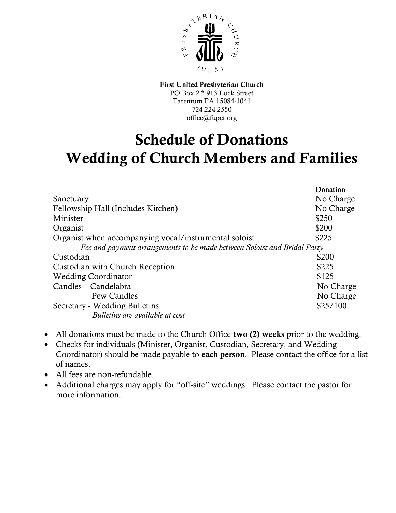

First United Presbyterian Church PO Box 2 \* 913 Lock Street Tarentum PA 15084-1041 724 224 2550 office@fupct.org

# Schedule of Donations Wedding of Church Members and Families

|                                                                          | Donation  |
|--------------------------------------------------------------------------|-----------|
| Sanctuary                                                                | No Charge |
| Fellowship Hall (Includes Kitchen)                                       | No Charge |
| Minister                                                                 | \$250     |
| Organist                                                                 | \$200     |
| Organist when accompanying vocal/instrumental soloist                    | \$225     |
| Fee and payment arrangements to be made between Soloist and Bridal Party |           |
| Custodian                                                                | \$200     |
| Custodian with Church Reception                                          | \$225     |
| <b>Wedding Coordinator</b>                                               | \$125     |
| Candles – Candelabra                                                     | No Charge |
| Pew Candles                                                              | No Charge |
| Secretary - Wedding Bulletins                                            | \$25/100  |
| Bulletins are available at cost                                          |           |

- All donations must be made to the Church Office two (2) weeks prior to the wedding.
- Checks for individuals (Minister, Organist, Custodian, Secretary, and Wedding Coordinator) should be made payable to each person. Please contact the office for a list of names.
- All fees are non-refundable.
- Additional charges may apply for "off-site" weddings. Please contact the pastor for more information.